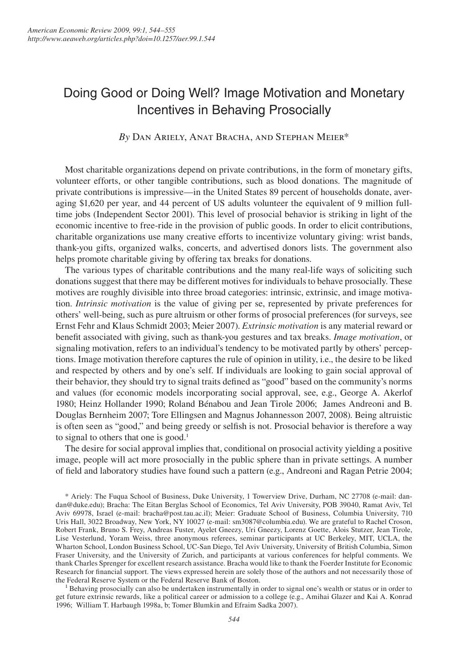# Doing Good or Doing Well? Image Motivation and Monetary Incentives in Behaving Prosocially

## *By* Dan Ariely, Anat Bracha, and Stephan Meier\*

Most charitable organizations depend on private contributions, in the form of monetary gifts, volunteer efforts, or other tangible contributions, such as blood donations. The magnitude of private contributions is impressive—in the United States 89 percent of households donate, averaging \$1,620 per year, and 44 percent of US adults volunteer the equivalent of 9 million fulltime jobs (Independent Sector 2001). This level of prosocial behavior is striking in light of the economic incentive to free-ride in the provision of public goods. In order to elicit contributions, charitable organizations use many creative efforts to incentivize voluntary giving: wrist bands, thank-you gifts, organized walks, concerts, and advertised donors lists. The government also helps promote charitable giving by offering tax breaks for donations.

The various types of charitable contributions and the many real-life ways of soliciting such donations suggest that there may be different motives for individuals to behave prosocially. These motives are roughly divisible into three broad categories: intrinsic, extrinsic, and image motivation. *Intrinsic motivation* is the value of giving per se, represented by private preferences for others' well-being, such as pure altruism or other forms of prosocial preferences (for surveys, see Ernst Fehr and Klaus Schmidt 2003; Meier 2007). *Extrinsic motivation* is any material reward or benefit associated with giving, such as thank-you gestures and tax breaks. *Image motivation*, or signaling motivation, refers to an individual's tendency to be motivated partly by others' perceptions. Image motivation therefore captures the rule of opinion in utility, i.e., the desire to be liked and respected by others and by one's self. If individuals are looking to gain social approval of their behavior, they should try to signal traits defined as "good" based on the community's norms and values (for economic models incorporating social approval, see, e.g., George A. Akerlof 1980; Heinz Hollander 1990; Roland Bénabou and Jean Tirole 2006; James Andreoni and B. Douglas Bernheim 2007; Tore Ellingsen and Magnus Johannesson 2007, 2008). Being altruistic is often seen as "good," and being greedy or selfish is not. Prosocial behavior is therefore a way to signal to others that one is good.<sup>1</sup>

The desire for social approval implies that, conditional on prosocial activity yielding a positive image, people will act more prosocially in the public sphere than in private settings. A number of field and laboratory studies have found such a pattern (e.g., Andreoni and Ragan Petrie 2004;

\* Ariely: The Fuqua School of Business, Duke University, 1 Towerview Drive, Durham, NC 27708 (e-mail: dandan@duke.edu); Bracha: The Eitan Berglas School of Economics, Tel Aviv University, POB 39040, Ramat Aviv, Tel Aviv 69978, Israel (e-mail: bracha@post.tau.ac.il); Meier: Graduate School of Business, Columbia University, 710 Uris Hall, 3022 Broadway, New York, NY 10027 (e-mail: sm3087@columbia.edu). We are grateful to Rachel Croson, Robert Frank, Bruno S. Frey, Andreas Fuster, Ayelet Gneezy, Uri Gneezy, Lorenz Goette, Alois Stutzer, Jean Tirole, Lise Vesterlund, Yoram Weiss, three anonymous referees, seminar participants at UC Berkeley, MIT, UCLA, the Wharton School, London Business School, UC-San Diego, Tel Aviv University, University of British Columbia, Simon Fraser University, and the University of Zurich, and participants at various conferences for helpful comments. We thank Charles Sprenger for excellent research assistance. Bracha would like to thank the Foerder Institute for Economic Research for financial support. The views expressed herein are solely those of the authors and not necessarily those of the Federal Reserve System or the Federal Reserve Bank of Boston.

<sup>1</sup> Behaving prosocially can also be undertaken instrumentally in order to signal one's wealth or status or in order to get future extrinsic rewards, like a political career or admission to a college (e.g., Amihai Glazer and Kai A. Konrad 1996; William T. Harbaugh 1998a, b; Tomer Blumkin and Efraim Sadka 2007).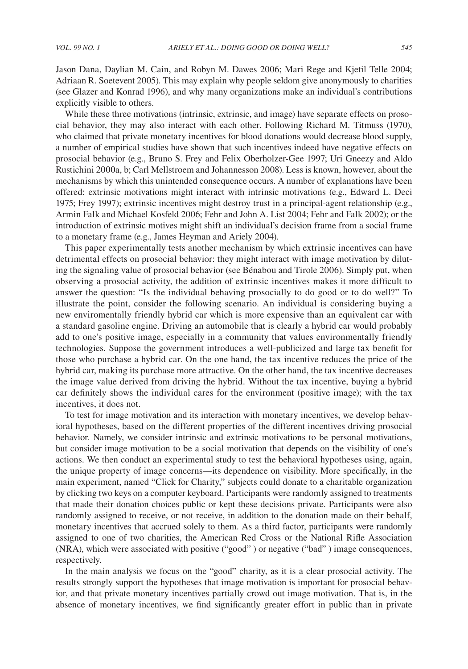Jason Dana, Daylian M. Cain, and Robyn M. Dawes 2006; Mari Rege and Kjetil Telle 2004; Adriaan R. Soetevent 2005). This may explain why people seldom give anonymously to charities (see Glazer and Konrad 1996), and why many organizations make an individual's contributions explicitly visible to others.

While these three motivations (intrinsic, extrinsic, and image) have separate effects on prosocial behavior, they may also interact with each other. Following Richard M. Titmuss (1970), who claimed that private monetary incentives for blood donations would decrease blood supply, a number of empirical studies have shown that such incentives indeed have negative effects on prosocial behavior (e.g., Bruno S. Frey and Felix Oberholzer-Gee 1997; Uri Gneezy and Aldo Rustichini 2000a, b; Carl Mellstroem and Johannesson 2008). Less is known, however, about the mechanisms by which this unintended consequence occurs. A number of explanations have been offered: extrinsic motivations might interact with intrinsic motivations (e.g., Edward L. Deci 1975; Frey 1997); extrinsic incentives might destroy trust in a principal-agent relationship (e.g., Armin Falk and Michael Kosfeld 2006; Fehr and John A. List 2004; Fehr and Falk 2002); or the introduction of extrinsic motives might shift an individual's decision frame from a social frame to a monetary frame (e.g., James Heyman and Ariely 2004).

This paper experimentally tests another mechanism by which extrinsic incentives can have detrimental effects on prosocial behavior: they might interact with image motivation by diluting the signaling value of prosocial behavior (see Bénabou and Tirole 2006). Simply put, when observing a prosocial activity, the addition of extrinsic incentives makes it more difficult to answer the question: "Is the individual behaving prosocially to do good or to do well?" To illustrate the point, consider the following scenario. An individual is considering buying a new enviromentally friendly hybrid car which is more expensive than an equivalent car with a standard gasoline engine. Driving an automobile that is clearly a hybrid car would probably add to one's positive image, especially in a community that values environmentally friendly technologies. Suppose the government introduces a well-publicized and large tax benefit for those who purchase a hybrid car. On the one hand, the tax incentive reduces the price of the hybrid car, making its purchase more attractive. On the other hand, the tax incentive decreases the image value derived from driving the hybrid. Without the tax incentive, buying a hybrid car definitely shows the individual cares for the environment (positive image); with the tax incentives, it does not.

To test for image motivation and its interaction with monetary incentives, we develop behavioral hypotheses, based on the different properties of the different incentives driving prosocial behavior. Namely, we consider intrinsic and extrinsic motivations to be personal motivations, but consider image motivation to be a social motivation that depends on the visibility of one's actions. We then conduct an experimental study to test the behavioral hypotheses using, again, the unique property of image concerns—its dependence on visibility. More specifically, in the main experiment, named "Click for Charity," subjects could donate to a charitable organization by clicking two keys on a computer keyboard. Participants were randomly assigned to treatments that made their donation choices public or kept these decisions private. Participants were also randomly assigned to receive, or not receive, in addition to the donation made on their behalf, monetary incentives that accrued solely to them. As a third factor, participants were randomly assigned to one of two charities, the American Red Cross or the National Rifle Association (NRA), which were associated with positive ("good" ) or negative ("bad" ) image consequences, respectively.

In the main analysis we focus on the "good" charity, as it is a clear prosocial activity. The results strongly support the hypotheses that image motivation is important for prosocial behavior, and that private monetary incentives partially crowd out image motivation. That is, in the absence of monetary incentives, we find significantly greater effort in public than in private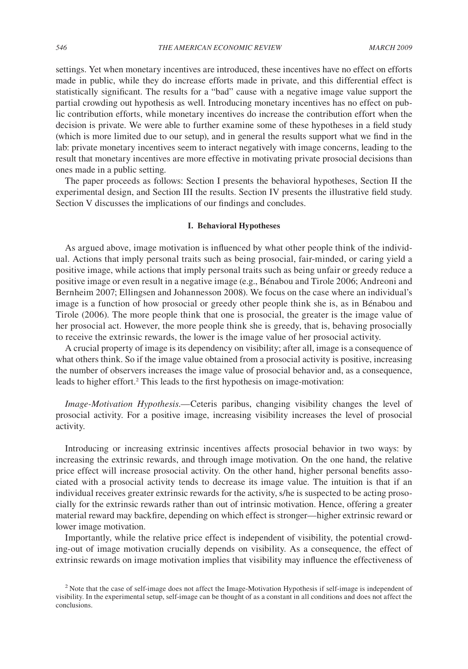settings. Yet when monetary incentives are introduced, these incentives have no effect on efforts made in public, while they do increase efforts made in private, and this differential effect is statistically significant. The results for a "bad" cause with a negative image value support the partial crowding out hypothesis as well. Introducing monetary incentives has no effect on public contribution efforts, while monetary incentives do increase the contribution effort when the decision is private. We were able to further examine some of these hypotheses in a field study (which is more limited due to our setup), and in general the results support what we find in the lab: private monetary incentives seem to interact negatively with image concerns, leading to the result that monetary incentives are more effective in motivating private prosocial decisions than ones made in a public setting.

The paper proceeds as follows: Section I presents the behavioral hypotheses, Section II the experimental design, and Section III the results. Section IV presents the illustrative field study. Section V discusses the implications of our findings and concludes.

#### **I. Behavioral Hypotheses**

As argued above, image motivation is influenced by what other people think of the individual. Actions that imply personal traits such as being prosocial, fair-minded, or caring yield a positive image, while actions that imply personal traits such as being unfair or greedy reduce a positive image or even result in a negative image (e.g., Bénabou and Tirole 2006; Andreoni and Bernheim 2007; Ellingsen and Johannesson 2008). We focus on the case where an individual's image is a function of how prosocial or greedy other people think she is, as in Bénabou and Tirole (2006). The more people think that one is prosocial, the greater is the image value of her prosocial act. However, the more people think she is greedy, that is, behaving prosocially to receive the extrinsic rewards, the lower is the image value of her prosocial activity.

A crucial property of image is its dependency on visibility; after all, image is a consequence of what others think. So if the image value obtained from a prosocial activity is positive, increasing the number of observers increases the image value of prosocial behavior and, as a consequence, leads to higher effort.<sup>2</sup> This leads to the first hypothesis on image-motivation:

*Image-Motivation Hypothesis*.—Ceteris paribus, changing visibility changes the level of prosocial activity. For a positive image, increasing visibility increases the level of prosocial activity.

Introducing or increasing extrinsic incentives affects prosocial behavior in two ways: by increasing the extrinsic rewards, and through image motivation. On the one hand, the relative price effect will increase prosocial activity. On the other hand, higher personal benefits associated with a prosocial activity tends to decrease its image value. The intuition is that if an individual receives greater extrinsic rewards for the activity, s/he is suspected to be acting prosocially for the extrinsic rewards rather than out of intrinsic motivation. Hence, offering a greater material reward may backfire, depending on which effect is stronger—higher extrinsic reward or lower image motivation.

Importantly, while the relative price effect is independent of visibility, the potential crowding-out of image motivation crucially depends on visibility. As a consequence, the effect of extrinsic rewards on image motivation implies that visibility may influence the effectiveness of

<sup>&</sup>lt;sup>2</sup> Note that the case of self-image does not affect the Image-Motivation Hypothesis if self-image is independent of visibility. In the experimental setup, self-image can be thought of as a constant in all conditions and does not affect the conclusions.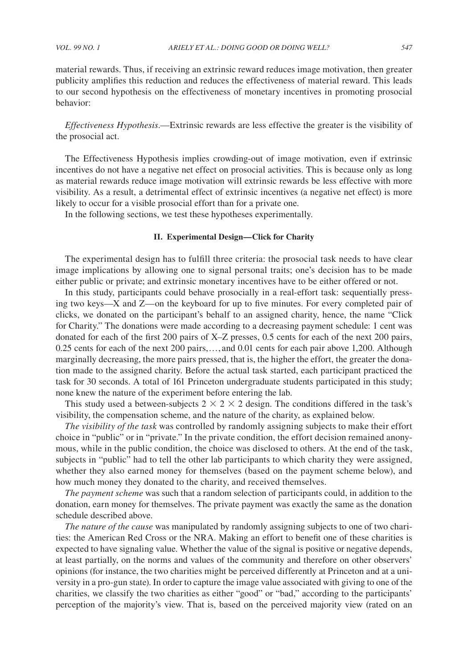material rewards. Thus, if receiving an extrinsic reward reduces image motivation, then greater publicity amplifies this reduction and reduces the effectiveness of material reward. This leads to our second hypothesis on the effectiveness of monetary incentives in promoting prosocial behavior:

*Effectiveness Hypothesis*.—Extrinsic rewards are less effective the greater is the visibility of the prosocial act.

The Effectiveness Hypothesis implies crowding-out of image motivation, even if extrinsic incentives do not have a negative net effect on prosocial activities. This is because only as long as material rewards reduce image motivation will extrinsic rewards be less effective with more visibility. As a result, a detrimental effect of extrinsic incentives (a negative net effect) is more likely to occur for a visible prosocial effort than for a private one.

In the following sections, we test these hypotheses experimentally.

### **II. Experimental Design—Click for Charity**

The experimental design has to fulfill three criteria: the prosocial task needs to have clear image implications by allowing one to signal personal traits; one's decision has to be made either public or private; and extrinsic monetary incentives have to be either offered or not.

In this study, participants could behave prosocially in a real-effort task: sequentially pressing two keys—X and Z—on the keyboard for up to five minutes. For every completed pair of clicks, we donated on the participant's behalf to an assigned charity, hence, the name "Click for Charity." The donations were made according to a decreasing payment schedule: 1 cent was donated for each of the first 200 pairs of X–Z presses, 0.5 cents for each of the next 200 pairs, 0.25 cents for each of the next 200 pairs,…, and 0.01 cents for each pair above 1,200. Although marginally decreasing, the more pairs pressed, that is, the higher the effort, the greater the donation made to the assigned charity. Before the actual task started, each participant practiced the task for 30 seconds. A total of 161 Princeton undergraduate students participated in this study; none knew the nature of the experiment before entering the lab.

This study used a between-subjects  $2 \times 2 \times 2$  design. The conditions differed in the task's visibility, the compensation scheme, and the nature of the charity, as explained below.

*The visibility of the task* was controlled by randomly assigning subjects to make their effort choice in "public" or in "private." In the private condition, the effort decision remained anonymous, while in the public condition, the choice was disclosed to others. At the end of the task, subjects in "public" had to tell the other lab participants to which charity they were assigned, whether they also earned money for themselves (based on the payment scheme below), and how much money they donated to the charity, and received themselves.

*The payment scheme* was such that a random selection of participants could, in addition to the donation, earn money for themselves. The private payment was exactly the same as the donation schedule described above.

*The nature of the cause* was manipulated by randomly assigning subjects to one of two charities: the American Red Cross or the NRA. Making an effort to benefit one of these charities is expected to have signaling value. Whether the value of the signal is positive or negative depends, at least partially, on the norms and values of the community and therefore on other observers' opinions (for instance, the two charities might be perceived differently at Princeton and at a university in a pro-gun state). In order to capture the image value associated with giving to one of the charities, we classify the two charities as either "good" or "bad," according to the participants' perception of the majority's view. That is, based on the perceived majority view (rated on an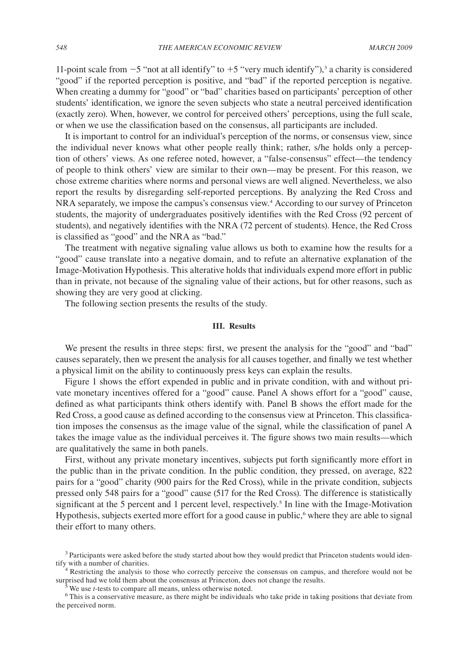11-point scale from  $-5$  "not at all identify" to  $+5$  "very much identify"),<sup>3</sup> a charity is considered "good" if the reported perception is positive, and "bad" if the reported perception is negative. When creating a dummy for "good" or "bad" charities based on participants' perception of other students' identification, we ignore the seven subjects who state a neutral perceived identification (exactly zero). When, however, we control for perceived others' perceptions, using the full scale, or when we use the classification based on the consensus, all participants are included.

It is important to control for an individual's perception of the norms, or consensus view, since the individual never knows what other people really think; rather, s/he holds only a perception of others' views. As one referee noted, however, a "false-consensus" effect—the tendency of people to think others' view are similar to their own—may be present. For this reason, we chose extreme charities where norms and personal views are well aligned. Nevertheless, we also report the results by disregarding self-reported perceptions. By analyzing the Red Cross and NRA separately, we impose the campus's consensus view.<sup>4</sup> According to our survey of Princeton students, the majority of undergraduates positively identifies with the Red Cross (92 percent of students), and negatively identifies with the NRA (72 percent of students). Hence, the Red Cross is classified as "good" and the NRA as "bad."

The treatment with negative signaling value allows us both to examine how the results for a "good" cause translate into a negative domain, and to refute an alternative explanation of the Image-Motivation Hypothesis. This alterative holds that individuals expend more effort in public than in private, not because of the signaling value of their actions, but for other reasons, such as showing they are very good at clicking.

The following section presents the results of the study.

## **III. Results**

We present the results in three steps: first, we present the analysis for the "good" and "bad" causes separately, then we present the analysis for all causes together, and finally we test whether a physical limit on the ability to continuously press keys can explain the results.

Figure 1 shows the effort expended in public and in private condition, with and without private monetary incentives offered for a "good" cause. Panel A shows effort for a "good" cause, defined as what participants think others identify with. Panel B shows the effort made for the Red Cross, a good cause as defined according to the consensus view at Princeton. This classification imposes the consensus as the image value of the signal, while the classification of panel A takes the image value as the individual perceives it. The figure shows two main results—which are qualitatively the same in both panels.

First, without any private monetary incentives, subjects put forth significantly more effort in the public than in the private condition. In the public condition, they pressed, on average, 822 pairs for a "good" charity (900 pairs for the Red Cross), while in the private condition, subjects pressed only 548 pairs for a "good" cause (517 for the Red Cross). The difference is statistically significant at the 5 percent and 1 percent level, respectively.<sup>5</sup> In line with the Image-Motivation Hypothesis, subjects exerted more effort for a good cause in public,<sup>6</sup> where they are able to signal their effort to many others.

<sup>&</sup>lt;sup>3</sup> Participants were asked before the study started about how they would predict that Princeton students would identify with a number of charities. 4 Restricting the analysis to those who correctly perceive the consensus on campus, and therefore would not be

surprised had we told them about the consensus at Princeton, does not change the results.<br><sup>5</sup> We use *t*-tests to compare all means, unless otherwise noted.<br><sup>6</sup> This is a conservative measure, as there might be individuals

the perceived norm.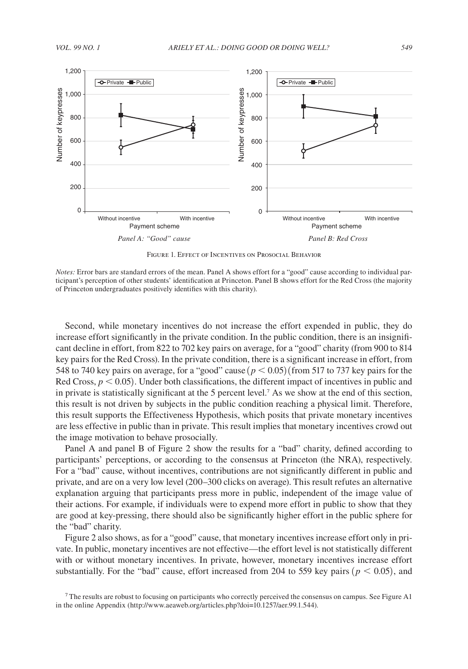

Figure 1. Effect of Incentives on Prosocial Behavior

Second, while monetary incentives do not increase the effort expended in public, they do increase effort significantly in the private condition. In the public condition, there is an insignificant decline in effort, from 822 to 702 key pairs on average, for a "good" charity (from 900 to 814 key pairs for the Red Cross). In the private condition, there is a significant increase in effort, from 548 to 740 key pairs on average, for a "good" cause  $(p < 0.05)$  (from 517 to 737 key pairs for the Red Cross,  $p < 0.05$ ). Under both classifications, the different impact of incentives in public and in private is statistically significant at the 5 percent level.<sup>7</sup> As we show at the end of this section, this result is not driven by subjects in the public condition reaching a physical limit. Therefore, this result supports the Effectiveness Hypothesis, which posits that private monetary incentives are less effective in public than in private. This result implies that monetary incentives crowd out the image motivation to behave prosocially.

Panel A and panel B of Figure 2 show the results for a "bad" charity, defined according to participants' perceptions, or according to the consensus at Princeton (the NRA), respectively. For a "bad" cause, without incentives, contributions are not significantly different in public and private, and are on a very low level (200–300 clicks on average). This result refutes an alternative explanation arguing that participants press more in public, independent of the image value of their actions. For example, if individuals were to expend more effort in public to show that they are good at key-pressing, there should also be significantly higher effort in the public sphere for the "bad" charity.

Figure 2 also shows, as for a "good" cause, that monetary incentives increase effort only in private. In public, monetary incentives are not effective—the effort level is not statistically different with or without monetary incentives. In private, however, monetary incentives increase effort substantially. For the "bad" cause, effort increased from 204 to 559 key pairs ( $p < 0.05$ ), and

*Notes:* Error bars are standard errors of the mean. Panel A shows effort for a "good" cause according to individual participant's perception of other students' identification at Princeton. Panel B shows effort for the Red Cross (the majority of Princeton undergraduates positively identifies with this charity).

<sup>&</sup>lt;sup>7</sup> The results are robust to focusing on participants who correctly perceived the consensus on campus. See Figure A1 in the online Appendix (http://www.aeaweb.org/articles.php?doi=10.1257/aer.99.1.544).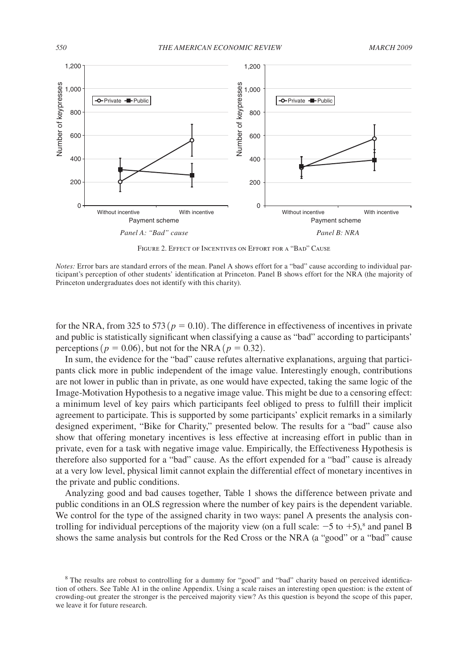

Figure 2. Effect of Incentives on Effort for a "Bad" Cause

*Notes:* Error bars are standard errors of the mean. Panel A shows effort for a "bad" cause according to individual participant's perception of other students' identification at Princeton. Panel B shows effort for the NRA (the majority of Princeton undergraduates does not identify with this charity).

for the NRA, from 325 to 573 ( $p = 0.10$ ). The difference in effectiveness of incentives in private and public is statistically significant when classifying a cause as "bad" according to participants' perceptions ( $p = 0.06$ ), but not for the NRA ( $p = 0.32$ ).

In sum, the evidence for the "bad" cause refutes alternative explanations, arguing that participants click more in public independent of the image value. Interestingly enough, contributions are not lower in public than in private, as one would have expected, taking the same logic of the Image-Motivation Hypothesis to a negative image value. This might be due to a censoring effect: a minimum level of key pairs which participants feel obliged to press to fulfill their implicit agreement to participate. This is supported by some participants' explicit remarks in a similarly designed experiment, "Bike for Charity," presented below. The results for a "bad" cause also show that offering monetary incentives is less effective at increasing effort in public than in private, even for a task with negative image value. Empirically, the Effectiveness Hypothesis is therefore also supported for a "bad" cause. As the effort expended for a "bad" cause is already at a very low level, physical limit cannot explain the differential effect of monetary incentives in the private and public conditions.

Analyzing good and bad causes together, Table 1 shows the difference between private and public conditions in an OLS regression where the number of key pairs is the dependent variable. We control for the type of the assigned charity in two ways: panel A presents the analysis controlling for individual perceptions of the majority view (on a full scale:  $-5$  to  $+5$ ),<sup>8</sup> and panel B shows the same analysis but controls for the Red Cross or the NRA (a "good" or a "bad" cause

<sup>8</sup> The results are robust to controlling for a dummy for "good" and "bad" charity based on perceived identification of others. See Table A1 in the online Appendix. Using a scale raises an interesting open question: is the extent of crowding-out greater the stronger is the perceived majority view? As this question is beyond the scope of this paper, we leave it for future research.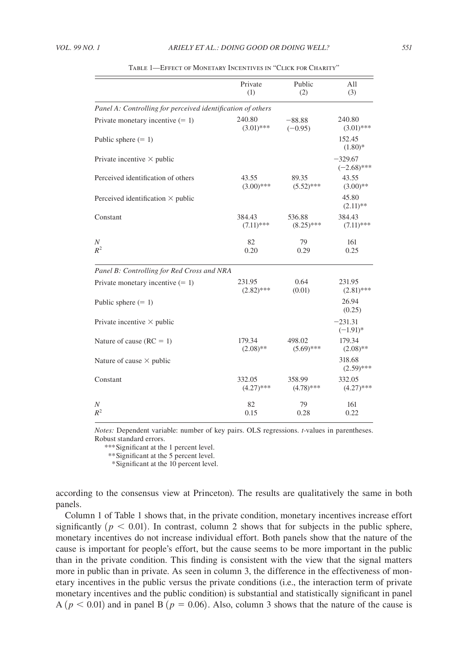|                                                             | Private      | Public       | All                        |
|-------------------------------------------------------------|--------------|--------------|----------------------------|
|                                                             | (1)          | (2)          | (3)                        |
| Panel A: Controlling for perceived identification of others |              |              |                            |
| Private monetary incentive $(= 1)$                          | 240.80       | $-88.88$     | 240.80                     |
|                                                             | $(3.01)$ *** | $(-0.95)$    | $(3.01)$ ***               |
| Public sphere $(= 1)$                                       |              |              | 152.45<br>$(1.80)$ *       |
| Private incentive $\times$ public                           |              |              | $-329.67$<br>$(-2.68)$ *** |
| Perceived identification of others                          | 43.55        | 89.35        | 43.55                      |
|                                                             | $(3.00)$ *** | $(5.52)$ *** | $(3.00)$ **                |
| Perceived identification $\times$ public                    |              |              | 45.80<br>$(2.11)$ **       |
| Constant                                                    | 384.43       | 536.88       | 384.43                     |
|                                                             | $(7.11)$ *** | $(8.25)$ *** | $(7.11)$ ***               |
| N                                                           | 82           | 79           | 161                        |
| $R^2$                                                       | 0.20         | 0.29         | 0.25                       |
| Panel B: Controlling for Red Cross and NRA                  |              |              |                            |
| Private monetary incentive $(= 1)$                          | 231.95       | 0.64         | 231.95                     |
|                                                             | $(2.82)$ *** | (0.01)       | $(2.81)$ ***               |
| Public sphere $(= 1)$                                       |              |              | 26.94<br>(0.25)            |
| Private incentive $\times$ public                           |              |              | $-231.31$<br>$(-1.91)$ *   |
| Nature of cause ( $RC = 1$ )                                | 179.34       | 498.02       | 179.34                     |
|                                                             | $(2.08)$ **  | $(5.69)$ *** | $(2.08)$ **                |
| Nature of cause $\times$ public                             |              |              | 318.68<br>$(2.59)$ ***     |
| Constant                                                    | 332.05       | 358.99       | 332.05                     |
|                                                             | $(4.27)$ *** | $(4.78)$ *** | $(4.27)$ ***               |
| Ν                                                           | 82           | 79           | 161                        |
| $R^2$                                                       | 0.15         | 0.28         | 0.22                       |

Table 1—Effect of Monetary Incentives in "Click for Charity"

*Notes:* Dependent variable: number of key pairs. OLS regressions. *t-*values in parentheses. Robust standard errors.

*\*\*\**Significant at the 1 percent level.

*\*\**Significant at the 5 percent level.

 *\**Significant at the 10 percent level.

according to the consensus view at Princeton). The results are qualitatively the same in both panels.

Column 1 of Table 1 shows that, in the private condition, monetary incentives increase effort significantly  $(p < 0.01)$ . In contrast, column 2 shows that for subjects in the public sphere, monetary incentives do not increase individual effort. Both panels show that the nature of the cause is important for people's effort, but the cause seems to be more important in the public than in the private condition. This finding is consistent with the view that the signal matters more in public than in private. As seen in column 3, the difference in the effectiveness of monetary incentives in the public versus the private conditions (i.e., the interaction term of private monetary incentives and the public condition) is substantial and statistically significant in panel A ( $p < 0.01$ ) and in panel B ( $p = 0.06$ ). Also, column 3 shows that the nature of the cause is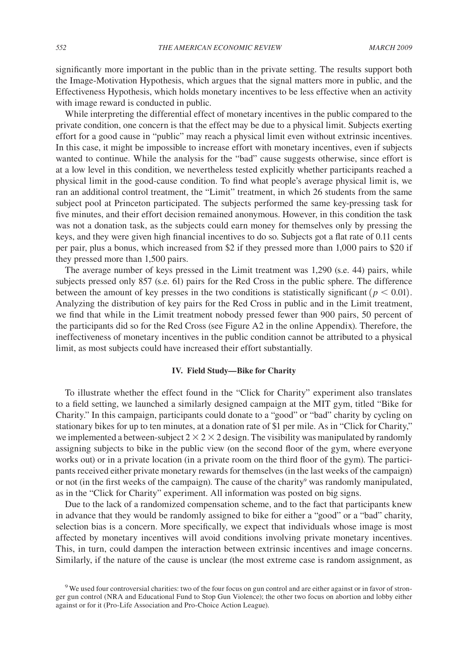significantly more important in the public than in the private setting. The results support both the Image-Motivation Hypothesis, which argues that the signal matters more in public, and the Effectiveness Hypothesis, which holds monetary incentives to be less effective when an activity with image reward is conducted in public.

While interpreting the differential effect of monetary incentives in the public compared to the private condition, one concern is that the effect may be due to a physical limit. Subjects exerting effort for a good cause in "public" may reach a physical limit even without extrinsic incentives. In this case, it might be impossible to increase effort with monetary incentives, even if subjects wanted to continue. While the analysis for the "bad" cause suggests otherwise, since effort is at a low level in this condition, we nevertheless tested explicitly whether participants reached a physical limit in the good-cause condition. To find what people's average physical limit is, we ran an additional control treatment, the "Limit" treatment, in which 26 students from the same subject pool at Princeton participated. The subjects performed the same key-pressing task for five minutes, and their effort decision remained anonymous. However, in this condition the task was not a donation task, as the subjects could earn money for themselves only by pressing the keys, and they were given high financial incentives to do so. Subjects got a flat rate of 0.11 cents per pair, plus a bonus, which increased from \$2 if they pressed more than 1,000 pairs to \$20 if they pressed more than 1,500 pairs.

The average number of keys pressed in the Limit treatment was 1,290 (s.e. 44) pairs, while subjects pressed only 857 (s.e. 61) pairs for the Red Cross in the public sphere. The difference between the amount of key presses in the two conditions is statistically significant  $(p < 0.01)$ . Analyzing the distribution of key pairs for the Red Cross in public and in the Limit treatment, we find that while in the Limit treatment nobody pressed fewer than 900 pairs, 50 percent of the participants did so for the Red Cross (see Figure A2 in the online Appendix). Therefore, the ineffectiveness of monetary incentives in the public condition cannot be attributed to a physical limit, as most subjects could have increased their effort substantially.

#### **IV. Field Study—Bike for Charity**

To illustrate whether the effect found in the "Click for Charity" experiment also translates to a field setting, we launched a similarly designed campaign at the MIT gym, titled "Bike for Charity." In this campaign, participants could donate to a "good" or "bad" charity by cycling on stationary bikes for up to ten minutes, at a donation rate of \$1 per mile. As in "Click for Charity," we implemented a between-subject  $2 \times 2 \times 2$  design. The visibility was manipulated by randomly assigning subjects to bike in the public view (on the second floor of the gym, where everyone works out) or in a private location (in a private room on the third floor of the gym). The participants received either private monetary rewards for themselves (in the last weeks of the campaign) or not (in the first weeks of the campaign). The cause of the charity<sup>9</sup> was randomly manipulated, as in the "Click for Charity" experiment. All information was posted on big signs.

Due to the lack of a randomized compensation scheme, and to the fact that participants knew in advance that they would be randomly assigned to bike for either a "good" or a "bad" charity, selection bias is a concern. More specifically, we expect that individuals whose image is most affected by monetary incentives will avoid conditions involving private monetary incentives. This, in turn, could dampen the interaction between extrinsic incentives and image concerns. Similarly, if the nature of the cause is unclear (the most extreme case is random assignment, as

<sup>9</sup> We used four controversial charities: two of the four focus on gun control and are either against or in favor of stronger gun control (NRA and Educational Fund to Stop Gun Violence); the other two focus on abortion and lobby either against or for it (Pro-Life Association and Pro-Choice Action League).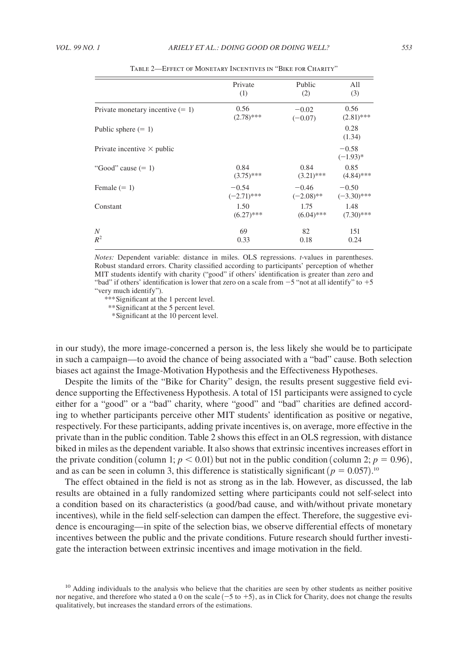|                                    | Private       | Public       | All                    |
|------------------------------------|---------------|--------------|------------------------|
|                                    | (1)           | (2)          | (3)                    |
| Private monetary incentive $(= 1)$ | 0.56          | $-0.02$      | 0.56                   |
|                                    | $(2.78)$ ***  | $(-0.07)$    | $(2.81)$ ***           |
| Public sphere $(= 1)$              |               |              | 0.28<br>(1.34)         |
| Private incentive $\times$ public  |               |              | $-0.58$<br>$(-1.93)$ * |
| "Good" cause $(= 1)$               | 0.84          | 0.84         | 0.85                   |
|                                    | $(3.75)$ ***  | $(3.21)$ *** | $(4.84)$ ***           |
| Female $(= 1)$                     | $-0.54$       | $-0.46$      | $-0.50$                |
|                                    | $(-2.71)$ *** | $(-2.08)$ ** | $(-3.30)$ ***          |
| Constant                           | 1.50          | 1.75         | 1.48                   |
|                                    | $(6.27)$ ***  | $(6.04)$ *** | $(7.30)$ ***           |
| N                                  | 69            | 82           | 151                    |
| $R^2$                              | 0.33          | 0.18         | 0.24                   |

Table 2—Effect of Monetary Incentives in "Bike for Charity"

*Notes:* Dependent variable: distance in miles. OLS regressions. *t*-values in parentheses. Robust standard errors. Charity classified according to participants' perception of whether MIT students identify with charity ("good" if others' identification is greater than zero and "bad" if others' identification is lower that zero on a scale from  $-5$  "not at all identify" to  $+5$ "very much identify").

*\*\*\**Significant at the 1 percent level.

*\*\**Significant at the 5 percent level.

 *\**Significant at the 10 percent level.

in our study), the more image-concerned a person is, the less likely she would be to participate in such a campaign—to avoid the chance of being associated with a "bad" cause. Both selection biases act against the Image-Motivation Hypothesis and the Effectiveness Hypotheses.

Despite the limits of the "Bike for Charity" design, the results present suggestive field evidence supporting the Effectiveness Hypothesis. A total of 151 participants were assigned to cycle either for a "good" or a "bad" charity, where "good" and "bad" charities are defined according to whether participants perceive other MIT students' identification as positive or negative, respectively. For these participants, adding private incentives is, on average, more effective in the private than in the public condition. Table 2 shows this effect in an OLS regression, with distance biked in miles as the dependent variable. It also shows that extrinsic incentives increases effort in the private condition (column 1;  $p < 0.01$ ) but not in the public condition (column 2;  $p = 0.96$ ), and as can be seen in column 3, this difference is statistically significant ( $p = 0.057$ ).<sup>10</sup>

The effect obtained in the field is not as strong as in the lab. However, as discussed, the lab results are obtained in a fully randomized setting where participants could not self-select into a condition based on its characteristics (a good/bad cause, and with/without private monetary incentives), while in the field self-selection can dampen the effect. Therefore, the suggestive evidence is encouraging—in spite of the selection bias, we observe differential effects of monetary incentives between the public and the private conditions. Future research should further investigate the interaction between extrinsic incentives and image motivation in the field.

<sup>&</sup>lt;sup>10</sup> Adding individuals to the analysis who believe that the charities are seen by other students as neither positive nor negative, and therefore who stated a 0 on the scale  $(-5 \text{ to } +5)$ , as in Click for Charity, does not change the results qualitatively, but increases the standard errors of the estimations.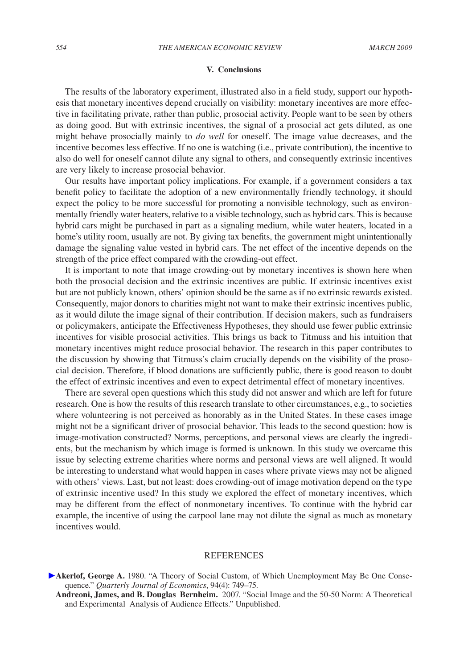#### **V. Conclusions**

The results of the laboratory experiment, illustrated also in a field study, support our hypothesis that monetary incentives depend crucially on visibility: monetary incentives are more effective in facilitating private, rather than public, prosocial activity. People want to be seen by others as doing good. But with extrinsic incentives, the signal of a prosocial act gets diluted, as one might behave prosocially mainly to *do well* for oneself. The image value decreases, and the incentive becomes less effective. If no one is watching (i.e., private contribution), the incentive to also do well for oneself cannot dilute any signal to others, and consequently extrinsic incentives are very likely to increase prosocial behavior.

Our results have important policy implications. For example, if a government considers a tax benefit policy to facilitate the adoption of a new environmentally friendly technology, it should expect the policy to be more successful for promoting a nonvisible technology, such as environmentally friendly water heaters, relative to a visible technology, such as hybrid cars. This is because hybrid cars might be purchased in part as a signaling medium, while water heaters, located in a home's utility room, usually are not. By giving tax benefits, the government might unintentionally damage the signaling value vested in hybrid cars. The net effect of the incentive depends on the strength of the price effect compared with the crowding-out effect.

It is important to note that image crowding-out by monetary incentives is shown here when both the prosocial decision and the extrinsic incentives are public. If extrinsic incentives exist but are not publicly known, others' opinion should be the same as if no extrinsic rewards existed. Consequently, major donors to charities might not want to make their extrinsic incentives public, as it would dilute the image signal of their contribution. If decision makers, such as fundraisers or policymakers, anticipate the Effectiveness Hypotheses, they should use fewer public extrinsic incentives for visible prosocial activities. This brings us back to Titmuss and his intuition that monetary incentives might reduce prosocial behavior. The research in this paper contributes to the discussion by showing that Titmuss's claim crucially depends on the visibility of the prosocial decision. Therefore, if blood donations are sufficiently public, there is good reason to doubt the effect of extrinsic incentives and even to expect detrimental effect of monetary incentives.

There are several open questions which this study did not answer and which are left for future research. One is how the results of this research translate to other circumstances, e.g., to societies where volunteering is not perceived as honorably as in the United States. In these cases image might not be a significant driver of prosocial behavior. This leads to the second question: how is image-motivation constructed? Norms, perceptions, and personal views are clearly the ingredients, but the mechanism by which image is formed is unknown. In this study we overcame this issue by selecting extreme charities where norms and personal views are well aligned. It would be interesting to understand what would happen in cases where private views may not be aligned with others' views. Last, but not least: does crowding-out of image motivation depend on the type of extrinsic incentive used? In this study we explored the effect of monetary incentives, which may be different from the effect of nonmonetary incentives. To continue with the hybrid car example, the incentive of using the carpool lane may not dilute the signal as much as monetary incentives would.

#### **REFERENCES**

- **Akerlof, George A.** 1980. "A Theory of Social Custom, of Which Unemployment May Be One Consequence." *Quarterly Journal of Economics*, 94(4): 749–75.
	- **Andreoni, James, and B. Douglas Bernheim.** 2007. "Social Image and the 50-50 Norm: A Theoretical and Experimental Analysis of Audience Effects." Unpublished.